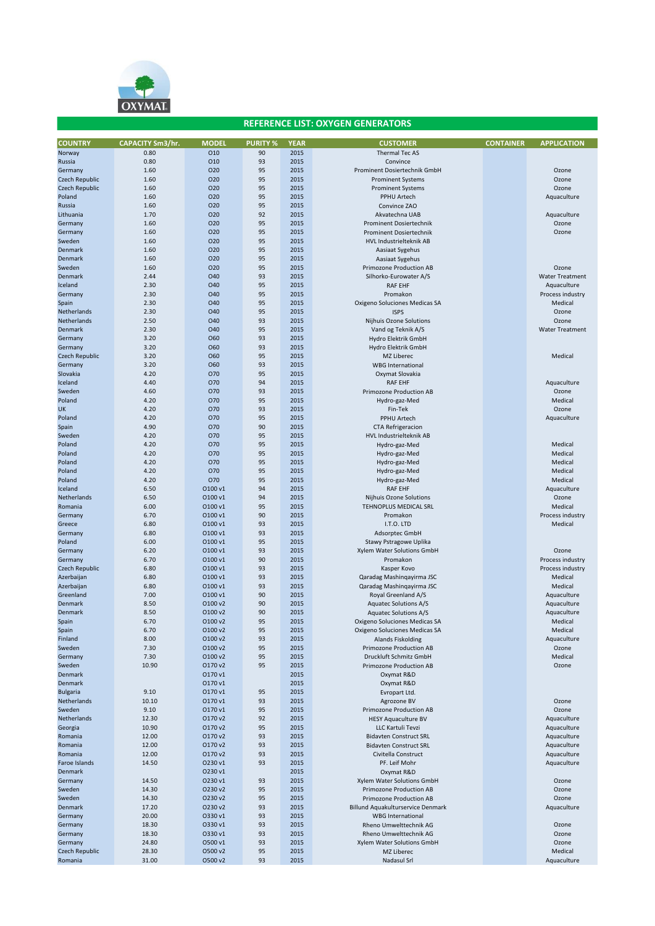

| <b>COUNTRY</b>  | <b>CAPACITY Sm3/hr.</b> | <b>MODEL</b>    | <b>PURITY %</b> | <b>YEAR</b> | <b>CUSTOMER</b>                   | <b>CONTAINER</b> | <b>APPLICATION</b>     |
|-----------------|-------------------------|-----------------|-----------------|-------------|-----------------------------------|------------------|------------------------|
| Norway          | 0.80                    | 010             | 90              | 2015        | <b>Thermal Tec AS</b>             |                  |                        |
| Russia          | 0.80                    | 010             | 93              | 2015        | Convince                          |                  |                        |
| Germany         | 1.60                    | O <sub>20</sub> | 95              | 2015        | Prominent Dosiertechnik GmbH      |                  | Ozone                  |
| Czech Republic  | 1.60                    | O <sub>20</sub> | 95              | 2015        | <b>Prominent Systems</b>          |                  | Ozone                  |
| Czech Republic  | 1.60                    | 020             | 95              | 2015        | <b>Prominent Systems</b>          |                  | Ozone                  |
| Poland          | 1.60                    | 020             | 95              | 2015        | PPHU Artech                       |                  | Aquaculture            |
| Russia          | 1.60                    | O20             | 95              | 2015        | Convince ZAO                      |                  |                        |
| Lithuania       | 1.70                    | 020             | 92              | 2015        | Akvatechna UAB                    |                  | Aquaculture            |
|                 | 1.60                    | 020             | 95              | 2015        |                                   |                  | Ozone                  |
| Germany         |                         |                 |                 |             | <b>Prominent Dosiertechnik</b>    |                  |                        |
| Germany         | 1.60                    | O20             | 95              | 2015        | <b>Prominent Dosiertechnik</b>    |                  | Ozone                  |
| Sweden          | 1.60                    | 020             | 95              | 2015        | HVL Industrielteknik AB           |                  |                        |
| Denmark         | 1.60                    | O20             | 95              | 2015        | Aasiaat Sygehus                   |                  |                        |
| Denmark         | 1.60                    | O20             | 95              | 2015        | Aasiaat Sygehus                   |                  |                        |
| Sweden          | 1.60                    | O <sub>20</sub> | 95              | 2015        | Primozone Production AB           |                  | Ozone                  |
| Denmark         | 2.44                    | O40             | 93              | 2015        | Silhorko-Eurowater A/S            |                  | <b>Water Treatment</b> |
| Iceland         | 2.30                    | O40             | 95              | 2015        | <b>RAF EHF</b>                    |                  | Aquaculture            |
| Germany         | 2.30                    | O40             | 95              | 2015        | Promakon                          |                  | Process industry       |
| Spain           | 2.30                    | O40             | 95              | 2015        | Oxigeno Soluciones Medicas SA     |                  | Medical                |
| Netherlands     | 2.30                    | O40             | 95              | 2015        | <b>ISPS</b>                       |                  | Ozone                  |
| Netherlands     | 2.50                    | O40             | 93              | 2015        | Nijhuis Ozone Solutions           |                  | Ozone                  |
|                 |                         |                 |                 |             |                                   |                  |                        |
| Denmark         | 2.30                    | O40             | 95              | 2015        | Vand og Teknik A/S                |                  | <b>Water Treatment</b> |
| Germany         | 3.20                    | <b>O60</b>      | 93              | 2015        | Hydro Elektrik GmbH               |                  |                        |
| Germany         | 3.20                    | O60             | 93              | 2015        | Hydro Elektrik GmbH               |                  |                        |
| Czech Republic  | 3.20                    | <b>O60</b>      | 95              | 2015        | MZ Liberec                        |                  | Medical                |
| Germany         | 3.20                    | <b>O60</b>      | 93              | 2015        | <b>WBG</b> International          |                  |                        |
| Slovakia        | 4.20                    | O70             | 95              | 2015        | Oxymat Slovakia                   |                  |                        |
| Iceland         | 4.40                    | O70             | 94              | 2015        | <b>RAF EHF</b>                    |                  | Aquaculture            |
| Sweden          | 4.60                    | O70             | 93              | 2015        | <b>Primozone Production AB</b>    |                  | Ozone                  |
| Poland          | 4.20                    | O70             | 95              | 2015        | Hydro-gaz-Med                     |                  | Medical                |
| <b>UK</b>       | 4.20                    | O70             | 93              | 2015        | Fin-Tek                           |                  | Ozone                  |
| Poland          | 4.20                    | 070             | 95              | 2015        | PPHU Artech                       |                  | Aquaculture            |
|                 |                         |                 |                 |             |                                   |                  |                        |
| Spain           | 4.90                    | O70             | 90              | 2015        | <b>CTA Refrigeracion</b>          |                  |                        |
| Sweden          | 4.20                    | O70             | 95              | 2015        | <b>HVL Industrielteknik AB</b>    |                  |                        |
| Poland          | 4.20                    | O70             | 95              | 2015        | Hydro-gaz-Med                     |                  | Medical                |
| Poland          | 4.20                    | O70             | 95              | 2015        | Hydro-gaz-Med                     |                  | Medical                |
| Poland          | 4.20                    | O70             | 95              | 2015        | Hydro-gaz-Med                     |                  | Medical                |
| Poland          | 4.20                    | O70             | 95              | 2015        | Hydro-gaz-Med                     |                  | Medical                |
| Poland          | 4.20                    | O70             | 95              | 2015        | Hydro-gaz-Med                     |                  | Medical                |
| Iceland         | 6.50                    | 0100 v1         | 94              | 2015        | <b>RAF EHF</b>                    |                  | Aquaculture            |
| Netherlands     | 6.50                    | O100 v1         | 94              | 2015        | Nijhuis Ozone Solutions           |                  | Ozone                  |
| Romania         | 6.00                    | 0100 v1         | 95              | 2015        | TEHNOPLUS MEDICAL SRL             |                  | Medical                |
| Germany         | 6.70                    | 0100 v1         | 90              | 2015        | Promakon                          |                  | Process industry       |
|                 |                         |                 |                 |             |                                   |                  |                        |
| Greece          | 6.80                    | O100 v1         | 93              | 2015        | I.T.O. LTD                        |                  | Medical                |
| Germany         | 6.80                    | 0100 v1         | 93              | 2015        | Adsorptec GmbH                    |                  |                        |
| Poland          | 6.00                    | 0100 v1         | 95              | 2015        | Stawy Pstragowe Uplika            |                  |                        |
| Germany         | 6.20                    | 0100 v1         | 93              | 2015        | Xylem Water Solutions GmbH        |                  | Ozone                  |
| Germany         | 6.70                    | 0100 v1         | 90              | 2015        | Promakon                          |                  | Process industry       |
| Czech Republic  | 6.80                    | O100 v1         | 93              | 2015        | Kasper Kovo                       |                  | Process industry       |
| Azerbaijan      | 6.80                    | 0100 v1         | 93              | 2015        | Qaradag Mashinqayirma JSC         |                  | Medical                |
| Azerbaijan      | 6.80                    | O100 v1         | 93              | 2015        | Qaradag Mashinqayirma JSC         |                  | Medical                |
| Greenland       | 7.00                    | 0100 v1         | 90              | 2015        | Royal Greenland A/S               |                  | Aquaculture            |
| Denmark         | 8.50                    | O100 v2         | 90              | 2015        | <b>Aquatec Solutions A/S</b>      |                  | Aquaculture            |
| Denmark         | 8.50                    | O100 v2         | 90              | 2015        | <b>Aquatec Solutions A/S</b>      |                  | Aquaculture            |
|                 |                         |                 | 95              |             |                                   |                  |                        |
| Spain           | 6.70                    | O100 v2         |                 | 2015        | Oxigeno Soluciones Medicas SA     |                  | Medical                |
| Spain           | 6.70                    | O100 v2         | 95              | 2015        | Oxigeno Soluciones Medicas SA     |                  | Medical                |
| Finland         | 8.00                    | O100 v2         | 93              | 2015        | <b>Alands Fiskolding</b>          |                  | Aquaculture            |
| Sweden          | 7.30                    | O100 v2         | 95              | 2015        | Primozone Production AB           |                  | Ozone                  |
| Germany         | 7.30                    | O100 v2         | 95              | 2015        | Druckluft Schmitz GmbH            |                  | Medical                |
| Sweden          | 10.90                   | O170 v2         | 95              | 2015        | <b>Primozone Production AB</b>    |                  | Ozone                  |
| Denmark         |                         | 0170 v1         |                 | 2015        | Oxymat R&D                        |                  |                        |
| Denmark         |                         | 0170 v1         |                 | 2015        | Oxymat R&D                        |                  |                        |
| <b>Bulgaria</b> | 9.10                    | 0170 v1         | 95              | 2015        | Evropart Ltd.                     |                  |                        |
| Netherlands     | 10.10                   | 0170 v1         | 93              | 2015        | Agrozone BV                       |                  | Ozone                  |
| Sweden          | 9.10                    | 0170 v1         | 95              | 2015        | Primozone Production AB           |                  | Ozone                  |
| Netherlands     | 12.30                   | O170 v2         | 92              | 2015        | <b>HESY Aquaculture BV</b>        |                  | Aquaculture            |
| Georgia         | 10.90                   | O170 v2         | 95              | 2015        | LLC Kartuli Tevzi                 |                  | Aquaculture            |
| Romania         | 12.00                   | O170 v2         | 93              | 2015        | <b>Bidavten Construct SRL</b>     |                  | Aquaculture            |
|                 |                         |                 |                 |             |                                   |                  |                        |
| Romania         | 12.00                   | O170 v2         | 93              | 2015        | <b>Bidavten Construct SRL</b>     |                  | Aquaculture            |
| Romania         | 12.00                   | O170 v2         | 93              | 2015        | Civitella Construct               |                  | Aquaculture            |
| Faroe Islands   | 14.50                   | O230 v1         | 93              | 2015        | PF. Leif Mohr                     |                  | Aquaculture            |
| Denmark         |                         | O230 v1         |                 | 2015        | Oxymat R&D                        |                  |                        |
| Germany         | 14.50                   | O230 v1         | 93              | 2015        | Xylem Water Solutions GmbH        |                  | Ozone                  |
| Sweden          | 14.30                   | O230 v2         | 95              | 2015        | <b>Primozone Production AB</b>    |                  | Ozone                  |
| Sweden          | 14.30                   | O230 v2         | 95              | 2015        | Primozone Production AB           |                  | Ozone                  |
| Denmark         | 17.20                   | O230 v2         | 93              | 2015        | Billund Aquakulturservice Denmark |                  | Aquaculture            |
| Germany         | 20.00                   | O330 v1         | 93              | 2015        | <b>WBG International</b>          |                  |                        |
|                 |                         |                 |                 |             |                                   |                  |                        |
| Germany         | 18.30                   | O330 v1         | 93              | 2015        | Rheno Umwelttechnik AG            |                  | Ozone                  |
| Germany         | 18.30                   | O330 v1         | 93              | 2015        | Rheno Umwelttechnik AG            |                  | Ozone                  |
| Germany         | 24.80                   | O500 v1         | 93              | 2015        | Xylem Water Solutions GmbH        |                  | Ozone                  |
| Czech Republic  | 28.30                   | O500 v2         | 95              | 2015        | MZ Liberec                        |                  | Medical                |
| Romania         | 31.00                   | O500 v2         | 93              | 2015        | Nadasul Srl                       |                  | Aquaculture            |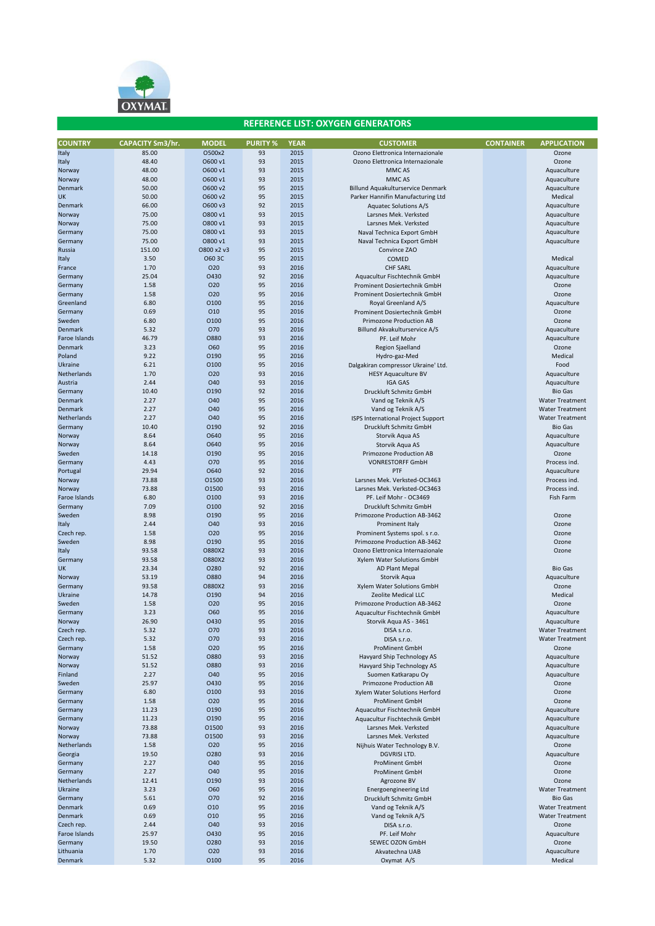

| <b>COUNTRY</b>      | <b>CAPACITY Sm3/hr.</b> | <b>MODEL</b>        | <b>PURITY %</b> | <b>YEAR</b>  | <b>CUSTOMER</b>                                          | <b>CONTAINER</b> | <b>APPLICATION</b>         |
|---------------------|-------------------------|---------------------|-----------------|--------------|----------------------------------------------------------|------------------|----------------------------|
| Italy               | 85.00                   | O500x2              | 93              | 2015         | Ozono Elettronica Internazionale                         |                  | Ozone                      |
| Italy               | 48.40                   | O600 v1             | 93              | 2015         | Ozono Elettronica Internazionale                         |                  | Ozone                      |
| Norway              | 48.00                   | O600 v1             | 93              | 2015         | MMC AS                                                   |                  | Aquaculture                |
| Norway              | 48.00                   | O600 v1             | 93              | 2015         | MMC AS                                                   |                  | Aquaculture                |
| Denmark             | 50.00                   | O600 v2             | 95              | 2015         | Billund Aquakulturservice Denmark                        |                  | Aquaculture                |
| UK                  | 50.00                   | O600 v2             | 95              | 2015         | Parker Hannifin Manufacturing Ltd                        |                  | Medical                    |
| Denmark             | 66.00                   | O600 v3             | 92              | 2015         | <b>Aquatec Solutions A/S</b>                             |                  | Aquaculture                |
| Norway              | 75.00                   | O800 v1             | 93              | 2015         | Larsnes Mek. Verksted                                    |                  | Aquaculture                |
| Norway              | 75.00<br>75.00          | O800 v1<br>O800 v1  | 93<br>93        | 2015<br>2015 | Larsnes Mek. Verksted<br>Naval Technica Export GmbH      |                  | Aquaculture                |
| Germany<br>Germany  | 75.00                   | O800 v1             | 93              | 2015         | Naval Technica Export GmbH                               |                  | Aquaculture<br>Aquaculture |
| Russia              | 151.00                  | O800 x2 v3          | 95              | 2015         | Convince ZAO                                             |                  |                            |
| Italy               | 3.50                    | O60 3C              | 95              | 2015         | COMED                                                    |                  | Medical                    |
| France              | 1.70                    | 020                 | 93              | 2016         | <b>CHF SARL</b>                                          |                  | Aquaculture                |
| Germany             | 25.04                   | O430                | 92              | 2016         | Aquacultur Fischtechnik GmbH                             |                  | Aquaculture                |
| Germany             | 1.58                    | 020                 | 95              | 2016         | Prominent Dosiertechnik GmbH                             |                  | Ozone                      |
| Germany             | 1.58                    | 020                 | 95              | 2016         | Prominent Dosiertechnik GmbH                             |                  | Ozone                      |
| Greenland           | 6.80                    | 0100                | 95              | 2016         | Royal Greenland A/S                                      |                  | Aquaculture                |
| Germany             | 0.69                    | 010                 | 95              | 2016         | Prominent Dosiertechnik GmbH                             |                  | Ozone                      |
| Sweden              | 6.80                    | 0100                | 95              | 2016         | <b>Primozone Production AB</b>                           |                  | Ozone                      |
| Denmark             | 5.32                    | O70                 | 93              | 2016         | Billund Akvakulturservice A/S                            |                  | Aquaculture                |
| Faroe Islands       | 46.79                   | <b>O880</b>         | 93<br>95        | 2016         | PF. Leif Mohr                                            |                  | Aquaculture                |
| Denmark<br>Poland   | 3.23<br>9.22            | O60<br>0190         | 95              | 2016<br>2016 | Region Sjaelland<br>Hydro-gaz-Med                        |                  | Ozone<br>Medical           |
| Ukraine             | 6.21                    | 0100                | 95              | 2016         | Dalgakiran compressor Ukraine' Ltd.                      |                  | Food                       |
| Netherlands         | 1.70                    | O <sub>20</sub>     | 93              | 2016         | <b>HESY Aquaculture BV</b>                               |                  | Aquaculture                |
| Austria             | 2.44                    | O40                 | 93              | 2016         | <b>IGA GAS</b>                                           |                  | Aquaculture                |
| Germany             | 10.40                   | 0190                | 92              | 2016         | Druckluft Schmitz GmbH                                   |                  | <b>Bio Gas</b>             |
| Denmark             | 2.27                    | O40                 | 95              | 2016         | Vand og Teknik A/S                                       |                  | <b>Water Treatment</b>     |
| Denmark             | 2.27                    | O40                 | 95              | 2016         | Vand og Teknik A/S                                       |                  | <b>Water Treatment</b>     |
| Netherlands         | 2.27                    | <b>O40</b>          | 95              | 2016         | ISPS International Project Support                       |                  | <b>Water Treatment</b>     |
| Germany             | 10.40                   | 0190                | 92              | 2016         | Druckluft Schmitz GmbH                                   |                  | <b>Bio Gas</b>             |
| Norway              | 8.64                    | O640                | 95              | 2016         | Storvik Agua AS                                          |                  | Aquaculture                |
| Norway              | 8.64                    | O640                | 95              | 2016         | Storvik Aqua AS                                          |                  | Aquaculture                |
| Sweden              | 14.18<br>4.43           | 0190<br>070         | 95<br>95        | 2016<br>2016 | Primozone Production AB<br><b>VONRESTORFF GmbH</b>       |                  | Ozone<br>Process ind.      |
| Germany<br>Portugal | 29.94                   | O640                | 92              | 2016         | PTF                                                      |                  | Aquaculture                |
| Norway              | 73.88                   | 01500               | 93              | 2016         | Larsnes Mek. Verksted-OC3463                             |                  | Process ind.               |
| Norway              | 73.88                   | 01500               | 93              | 2016         | Larsnes Mek. Verksted-OC3463                             |                  | Process ind.               |
| Faroe Islands       | 6.80                    | 0100                | 93              | 2016         | PF. Leif Mohr - OC3469                                   |                  | Fish Farm                  |
| Germany             | 7.09                    | 0100                | 92              | 2016         | Druckluft Schmitz GmbH                                   |                  |                            |
| Sweden              | 8.98                    | 0190                | 95              | 2016         | Primozone Production AB-3462                             |                  | Ozone                      |
| Italy               | 2.44                    | O40                 | 93              | 2016         | Prominent Italy                                          |                  | Ozone                      |
| Czech rep.          | 1.58                    | O <sub>20</sub>     | 95              | 2016         | Prominent Systems spol. s r.o.                           |                  | Ozone                      |
| Sweden              | 8.98                    | 0190                | 95              | 2016         | Primozone Production AB-3462                             |                  | Ozone                      |
| Italy               | 93.58                   | O880X2              | 93              | 2016         | Ozono Elettronica Internazionale                         |                  | Ozone                      |
| Germany<br>UK       | 93.58<br>23.34          | O880X2<br>0280      | 93<br>92        | 2016<br>2016 | Xylem Water Solutions GmbH<br>AD Plant Mepal             |                  | <b>Bio Gas</b>             |
| Norway              | 53.19                   | <b>O880</b>         | 94              | 2016         | Storvik Aqua                                             |                  | Aquaculture                |
| Germany             | 93.58                   | O880X2              | 93              | 2016         | Xylem Water Solutions GmbH                               |                  | Ozone                      |
| Ukraine             | 14.78                   | 0190                | 94              | 2016         | Zeolite Medical LLC                                      |                  | Medical                    |
| Sweden              | 1.58                    | 020                 | 95              | 2016         | Primozone Production AB-3462                             |                  | Ozone                      |
| Germany             | 3.23                    | <b>O60</b>          | 95              | 2016         | Aquacultur Fischtechnik GmbH                             |                  | Aquaculture                |
| Norway              | 26.90                   | 0430                | 95              | 2016         | Storvik Aqua AS - 3461                                   |                  | Aquaculture                |
| Czech rep.          | 5.32                    | 070                 | 93              | 2016         | DISA s.r.o.                                              |                  | <b>Water Treatment</b>     |
| Czech rep.          | 5.32                    | 070                 | 93              | 2016         | DISA s.r.o.                                              |                  | <b>Water Treatment</b>     |
| Germany             | 1.58                    | 020                 | 95              | 2016         | <b>ProMinent GmbH</b>                                    |                  | Ozone                      |
| Norway<br>Norway    | 51.52<br>51.52          | 0880<br><b>O880</b> | 93<br>93        | 2016<br>2016 | Havyard Ship Technology AS<br>Havyard Ship Technology AS |                  | Aquaculture<br>Aquaculture |
| Finland             | 2.27                    | O40                 | 95              | 2016         | Suomen Katkarapu Oy                                      |                  | Aquaculture                |
| Sweden              | 25.97                   | O430                | 95              | 2016         | Primozone Production AB                                  |                  | Ozone                      |
| Germany             | 6.80                    | 0100                | 93              | 2016         | Xylem Water Solutions Herford                            |                  | Ozone                      |
| Germany             | 1.58                    | 020                 | 95              | 2016         | <b>ProMinent GmbH</b>                                    |                  | Ozone                      |
| Germany             | 11.23                   | 0190                | 95              | 2016         | Aquacultur Fischtechnik GmbH                             |                  | Aquaculture                |
| Germany             | 11.23                   | 0190                | 95              | 2016         | Aquacultur Fischtechnik GmbH                             |                  | Aquaculture                |
| Norway              | 73.88                   | 01500               | 93              | 2016         | Larsnes Mek. Verksted                                    |                  | Aquaculture                |
| Norway              | 73.88                   | 01500               | 93              | 2016         | Larsnes Mek. Verksted                                    |                  | Aquaculture                |
| Netherlands         | 1.58                    | O <sub>20</sub>     | 95              | 2016         | Nijhuis Water Technology B.V.                            |                  | Ozone                      |
| Georgia<br>Germany  | 19.50                   | 0280                | 93<br>95        | 2016         | DGVRISI LTD.                                             |                  | Aquaculture                |
| Germany             | 2.27<br>2.27            | O40<br>O40          | 95              | 2016<br>2016 | <b>ProMinent GmbH</b><br><b>ProMinent GmbH</b>           |                  | Ozone<br>Ozone             |
| Netherlands         | 12.41                   | 0190                | 93              | 2016         | Agrozone BV                                              |                  | Ozone                      |
| Ukraine             | 3.23                    | O60                 | 95              | 2016         | <b>Energoengineering Ltd</b>                             |                  | <b>Water Treatment</b>     |
| Germany             | 5.61                    | 070                 | 92              | 2016         | Druckluft Schmitz GmbH                                   |                  | <b>Bio Gas</b>             |
| Denmark             | 0.69                    | 010                 | 95              | 2016         | Vand og Teknik A/S                                       |                  | <b>Water Treatment</b>     |
| Denmark             | 0.69                    | 010                 | 95              | 2016         | Vand og Teknik A/S                                       |                  | <b>Water Treatment</b>     |
| Czech rep.          | 2.44                    | <b>O40</b>          | 93              | 2016         | DISA s.r.o.                                              |                  | Ozone                      |
| Faroe Islands       | 25.97                   | 0430                | 95              | 2016         | PF. Leif Mohr                                            |                  | Aquaculture                |
| Germany             | 19.50                   | 0280                | 93              | 2016         | SEWEC OZON GmbH                                          |                  | Ozone                      |
| Lithuania           | 1.70                    | 020                 | 93              | 2016         | Akvatechna UAB                                           |                  | Aquaculture                |
| Denmark             | 5.32                    | 0100                | 95              | 2016         | Oxymat A/S                                               |                  | Medical                    |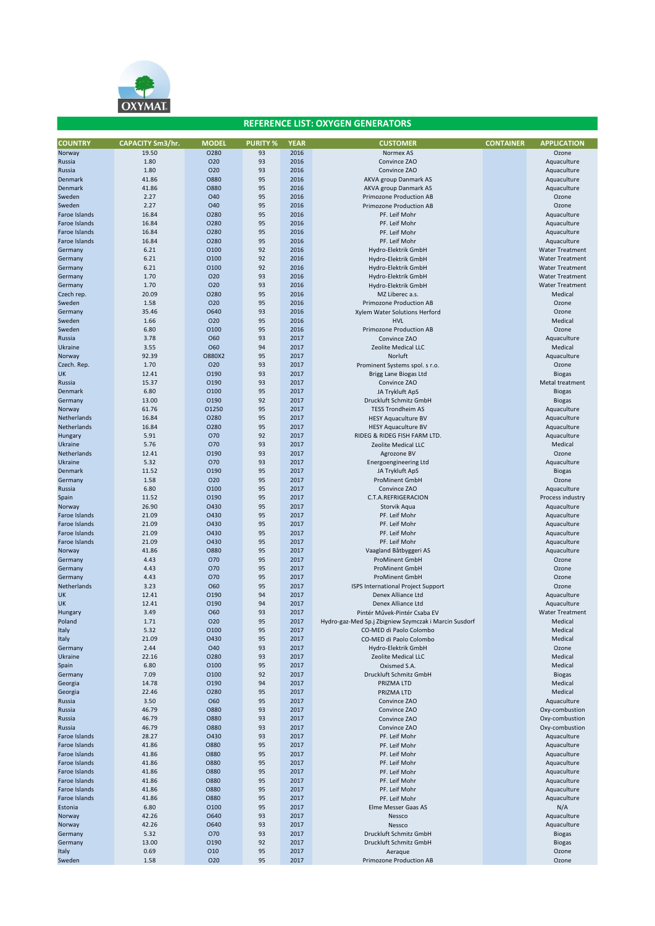

| <b>COUNTRY</b> | <b>CAPACITY Sm3/hr.</b> | <b>MODEL</b>    | <b>PURITY %</b> | <b>YEAR</b> | <b>CUSTOMER</b>                                       | <b>CONTAINER</b> | <b>APPLICATION</b>     |
|----------------|-------------------------|-----------------|-----------------|-------------|-------------------------------------------------------|------------------|------------------------|
| Norway         | 19.50                   | 0280            | 93              | 2016        | Normex AS                                             |                  | Ozone                  |
| Russia         | 1.80                    | 020             | 93              | 2016        | Convince ZAO                                          |                  | Aquaculture            |
| Russia         | 1.80                    | 020             | 93              | 2016        | Convince ZAO                                          |                  | Aquaculture            |
| Denmark        | 41.86                   | 0880            | 95              | 2016        | AKVA group Danmark AS                                 |                  | Aquaculture            |
| Denmark        | 41.86                   | 0880            | 95              | 2016        | AKVA group Danmark AS                                 |                  | Aquaculture            |
| Sweden         | 2.27                    | <b>040</b>      | 95              | 2016        | Primozone Production AB                               |                  | Ozone                  |
| Sweden         | 2.27                    | O40             | 95              | 2016        | Primozone Production AB                               |                  | Ozone                  |
| Faroe Islands  | 16.84                   | 0280            | 95              | 2016        | PF. Leif Mohr                                         |                  | Aquaculture            |
| Faroe Islands  | 16.84                   | 0280            | 95              | 2016        | PF. Leif Mohr                                         |                  | Aquaculture            |
|                |                         | 0280            | 95              | 2016        |                                                       |                  |                        |
| Faroe Islands  | 16.84                   |                 |                 |             | PF. Leif Mohr                                         |                  | Aquaculture            |
| Faroe Islands  | 16.84                   | 0280            | 95              | 2016        | PF. Leif Mohr                                         |                  | Aquaculture            |
| Germany        | 6.21                    | 0100            | 92              | 2016        | Hydro-Elektrik GmbH                                   |                  | <b>Water Treatment</b> |
| Germany        | 6.21                    | 0100            | 92              | 2016        | Hydro-Elektrik GmbH                                   |                  | <b>Water Treatment</b> |
| Germany        | 6.21                    | 0100            | 92              | 2016        | Hydro-Elektrik GmbH                                   |                  | <b>Water Treatment</b> |
| Germany        | 1.70                    | 020             | 93              | 2016        | Hydro-Elektrik GmbH                                   |                  | <b>Water Treatment</b> |
| Germany        | 1.70                    | O <sub>20</sub> | 93              | 2016        | Hydro-Elektrik GmbH                                   |                  | <b>Water Treatment</b> |
| Czech rep.     | 20.09                   | 0280            | 95              | 2016        | MZ Liberec a.s.                                       |                  | Medical                |
| Sweden         | 1.58                    | O <sub>20</sub> | 95              | 2016        | <b>Primozone Production AB</b>                        |                  | Ozone                  |
| Germany        | 35.46                   | O640            | 93              | 2016        | Xylem Water Solutions Herford                         |                  | Ozone                  |
| Sweden         | 1.66                    | O <sub>20</sub> | 95              | 2016        | <b>HVL</b>                                            |                  | Medical                |
| Sweden         | 6.80                    | 0100            | 95              | 2016        | <b>Primozone Production AB</b>                        |                  | Ozone                  |
| Russia         | 3.78                    | <b>O60</b>      | 93              | 2017        | Convince ZAO                                          |                  | Aquaculture            |
|                |                         |                 |                 |             |                                                       |                  |                        |
| Ukraine        | 3.55                    | <b>O60</b>      | 94              | 2017        | Zeolite Medical LLC                                   |                  | Medical                |
| Norway         | 92.39                   | O880X2          | 95              | 2017        | Norluft                                               |                  | Aquaculture            |
| Czech. Rep.    | 1.70                    | 020             | 93              | 2017        | Prominent Systems spol. s r.o.                        |                  | Ozone                  |
| UK             | 12.41                   | 0190            | 93              | 2017        | Brigg Lane Biogas Ltd                                 |                  | <b>Biogas</b>          |
| Russia         | 15.37                   | 0190            | 93              | 2017        | Convince ZAO                                          |                  | Metal treatment        |
| Denmark        | 6.80                    | 0100            | 95              | 2017        | JA Trykluft ApS                                       |                  | <b>Biogas</b>          |
| Germany        | 13.00                   | 0190            | 92              | 2017        | Druckluft Schmitz GmbH                                |                  | <b>Biogas</b>          |
| Norway         | 61.76                   | 01250           | 95              | 2017        | <b>TESS Trondheim AS</b>                              |                  | Aquaculture            |
| Netherlands    | 16.84                   | 0280            | 95              | 2017        | <b>HESY Aquaculture BV</b>                            |                  | Aquaculture            |
| Netherlands    | 16.84                   | 0280            | 95              | 2017        | <b>HESY Aquaculture BV</b>                            |                  | Aquaculture            |
| Hungary        | 5.91                    | O70             | 92              | 2017        | RIDEG & RIDEG FISH FARM LTD.                          |                  | Aquaculture            |
| Ukraine        | 5.76                    | O70             | 93              | 2017        | Zeolite Medical LLC                                   |                  | Medical                |
|                | 12.41                   | 0190            | 93              | 2017        |                                                       |                  | Ozone                  |
| Netherlands    |                         |                 |                 |             | Agrozone BV                                           |                  |                        |
| Ukraine        | 5.32                    | O70             | 93              | 2017        | Energoengineering Ltd                                 |                  | Aquaculture            |
| Denmark        | 11.52                   | 0190            | 95              | 2017        | JA Trykluft ApS                                       |                  | <b>Biogas</b>          |
| Germany        | 1.58                    | O <sub>20</sub> | 95              | 2017        | <b>ProMinent GmbH</b>                                 |                  | Ozone                  |
| Russia         | 6.80                    | 0100            | 95              | 2017        | Convince ZAO                                          |                  | Aquaculture            |
| Spain          | 11.52                   | 0190            | 95              | 2017        | C.T.A.REFRIGERACION                                   |                  | Process industry       |
| Norway         | 26.90                   | O430            | 95              | 2017        | Storvik Aqua                                          |                  | Aquaculture            |
| Faroe Islands  | 21.09                   | 0430            | 95              | 2017        | PF. Leif Mohr                                         |                  | Aquaculture            |
| Faroe Islands  | 21.09                   | 0430            | 95              | 2017        | PF. Leif Mohr                                         |                  | Aquaculture            |
| Faroe Islands  | 21.09                   | O430            | 95              | 2017        | PF. Leif Mohr                                         |                  | Aquaculture            |
| Faroe Islands  | 21.09                   | 0430            | 95              | 2017        | PF. Leif Mohr                                         |                  | Aquaculture            |
| Norway         | 41.86                   | 0880            | 95              | 2017        | Vaagland Båtbyggeri AS                                |                  | Aquaculture            |
| Germany        | 4.43                    | 070             | 95              | 2017        | <b>ProMinent GmbH</b>                                 |                  | Ozone                  |
|                |                         |                 |                 |             |                                                       |                  |                        |
| Germany        | 4.43                    | 070             | 95              | 2017        | <b>ProMinent GmbH</b>                                 |                  | Ozone                  |
| Germany        | 4.43                    | O70             | 95              | 2017        | <b>ProMinent GmbH</b>                                 |                  | Ozone                  |
| Netherlands    | 3.23                    | O60             | 95              | 2017        | ISPS International Project Support                    |                  | Ozone                  |
| UK             | 12.41                   | 0190            | 94              | 2017        | Denex Alliance Ltd                                    |                  | Aquaculture            |
| UK             | 12.41                   | 0190            | 94              | 2017        | Denex Alliance Ltd                                    |                  | Aquaculture            |
| Hungary        | 3.49                    | O60             | 93              | 2017        | Pintér Művek-Pintér Csaba EV                          |                  | <b>Water Treatment</b> |
| Poland         | 1.71                    | 020             | 95              | 2017        | Hydro-gaz-Med Sp.j Zbigniew Szymczak i Marcin Susdorf |                  | Medical                |
| Italy          | 5.32                    | 0100            | 95              | 2017        | CO-MED di Paolo Colombo                               |                  | Medical                |
| Italy          | 21.09                   | 0430            | 95              | 2017        | CO-MED di Paolo Colombo                               |                  | Medical                |
| Germany        | 2.44                    | <b>O40</b>      | 93              | 2017        | Hydro-Elektrik GmbH                                   |                  | Ozone                  |
| Ukraine        | 22.16                   | 0280            | 93              | 2017        | Zeolite Medical LLC                                   |                  | Medical                |
| Spain          | 6.80                    | 0100            | 95              | 2017        | Oxismed S.A.                                          |                  | Medical                |
| Germany        | 7.09                    | 0100            | 92              | 2017        | Druckluft Schmitz GmbH                                |                  | <b>Biogas</b>          |
| Georgia        | 14.78                   | 0190            | 94              | 2017        | PRIZMA LTD                                            |                  | Medical                |
| Georgia        | 22.46                   | 0280            | 95              | 2017        | PRIZMA LTD                                            |                  | Medical                |
| Russia         | 3.50                    | <b>O60</b>      | 95              | 2017        | Convince ZAO                                          |                  | Aquaculture            |
|                |                         |                 |                 |             |                                                       |                  |                        |
| Russia         | 46.79                   | 0880            | 93              | 2017        | Convince ZAO                                          |                  | Oxy-combustion         |
| Russia         | 46.79                   | 0880            | 93              | 2017        | Convince ZAO                                          |                  | Oxy-combustion         |
| Russia         | 46.79                   | 0880            | 93              | 2017        | Convince ZAO                                          |                  | Oxy-combustion         |
| Faroe Islands  | 28.27                   | 0430            | 93              | 2017        | PF. Leif Mohr                                         |                  | Aquaculture            |
| Faroe Islands  | 41.86                   | 0880            | 95              | 2017        | PF. Leif Mohr                                         |                  | Aquaculture            |
| Faroe Islands  | 41.86                   | 0880            | 95              | 2017        | PF. Leif Mohr                                         |                  | Aquaculture            |
| Faroe Islands  | 41.86                   | 0880            | 95              | 2017        | PF. Leif Mohr                                         |                  | Aquaculture            |
| Faroe Islands  | 41.86                   | 0880            | 95              | 2017        | PF. Leif Mohr                                         |                  | Aquaculture            |
| Faroe Islands  | 41.86                   | 0880            | 95              | 2017        | PF. Leif Mohr                                         |                  | Aquaculture            |
| Faroe Islands  | 41.86                   | 0880            | 95              | 2017        | PF. Leif Mohr                                         |                  | Aquaculture            |
| Faroe Islands  | 41.86                   | <b>O880</b>     | 95              | 2017        | PF. Leif Mohr                                         |                  | Aquaculture            |
| Estonia        | 6.80                    | 0100            | 95              | 2017        | Elme Messer Gaas AS                                   |                  | N/A                    |
|                |                         | O640            |                 |             |                                                       |                  |                        |
| Norway         | 42.26                   |                 | 93              | 2017        | Nessco                                                |                  | Aquaculture            |
| Norway         | 42.26                   | 0640            | 93              | 2017        | Nessco                                                |                  | Aquaculture            |
| Germany        | 5.32                    | 070             | 93              | 2017        | Druckluft Schmitz GmbH                                |                  | <b>Biogas</b>          |
| Germany        | 13.00                   | 0190            | 92              | 2017        | Druckluft Schmitz GmbH                                |                  | <b>Biogas</b>          |
| Italy          | 0.69                    | 010             | 95              | 2017        | Aeraque                                               |                  | Ozone                  |
| Sweden         | 1.58                    | 020             | 95              | 2017        | Primozone Production AB                               |                  | Ozone                  |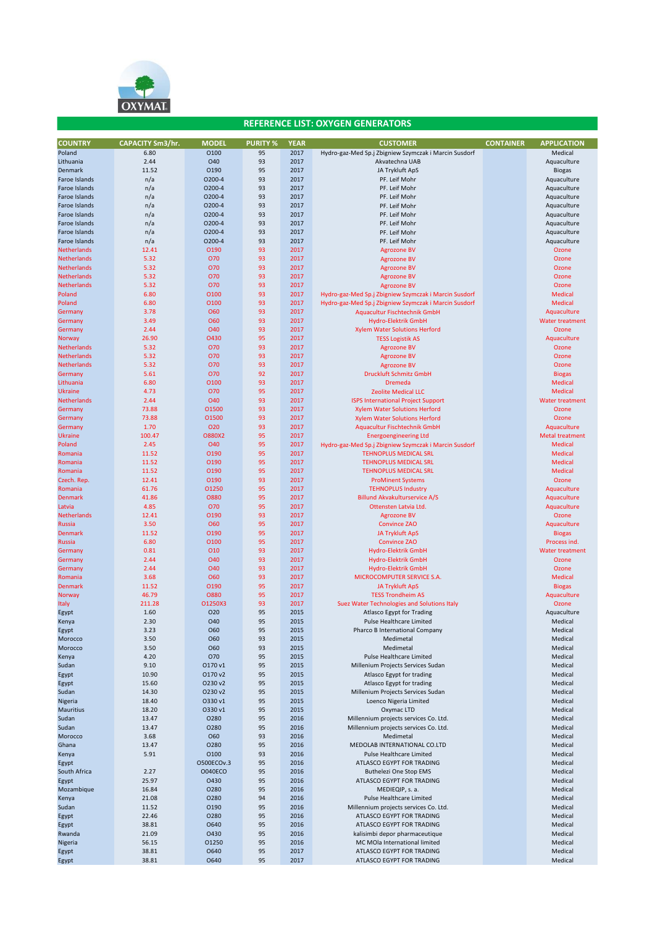

| <b>COUNTRY</b>     | <b>CAPACITY Sm3/hr.</b> | <b>MODEL</b>    | <b>PURITY %</b> | <b>YEAR</b> | <b>CUSTOMER</b>                                       | <b>CONTAINER</b> | <b>APPLICATION</b>     |
|--------------------|-------------------------|-----------------|-----------------|-------------|-------------------------------------------------------|------------------|------------------------|
| Poland             | 6.80                    | 0100            | 95              | 2017        | Hydro-gaz-Med Sp.j Zbigniew Szymczak i Marcin Susdorf |                  | Medical                |
| Lithuania          | 2.44                    | O40             | 93              | 2017        | Akvatechna UAB                                        |                  | Aquaculture            |
| Denmark            | 11.52                   | 0190            | 95              | 2017        | JA Trykluft ApS                                       |                  | <b>Biogas</b>          |
| Faroe Islands      | n/a                     | 0200-4          | 93              | 2017        | PF. Leif Mohr                                         |                  | Aquaculture            |
| Faroe Islands      | n/a                     | 0200-4          | 93              | 2017        | PF. Leif Mohr                                         |                  | Aquaculture            |
| Faroe Islands      | n/a                     | 0200-4          | 93              | 2017        | PF. Leif Mohr                                         |                  | Aquaculture            |
| Faroe Islands      | n/a                     | 0200-4          | 93              | 2017        | PF. Leif Mohr                                         |                  | Aquaculture            |
| Faroe Islands      | n/a                     | 0200-4          | 93              | 2017        | PF. Leif Mohr                                         |                  | Aquaculture            |
| Faroe Islands      | n/a                     | 0200-4          | 93              | 2017        | PF. Leif Mohr                                         |                  | Aquaculture            |
| Faroe Islands      | n/a                     | 0200-4          | 93              | 2017        | PF. Leif Mohr                                         |                  | Aquaculture            |
| Faroe Islands      | n/a                     | 0200-4          | 93              | 2017        | PF. Leif Mohr                                         |                  | Aquaculture            |
| Netherlands        | 12.41                   | O190            | 93              | 2017        | <b>Agrozone BV</b>                                    |                  | Ozone                  |
| Netherlands        | 5.32                    | O70             | 93              | 2017        | <b>Agrozone BV</b>                                    |                  | Ozone                  |
| Netherlands        | 5.32                    | O70             | 93              | 2017        | <b>Agrozone BV</b>                                    |                  | Ozone                  |
| Netherlands        | 5.32                    | 070             | 93              | 2017        | <b>Agrozone BV</b>                                    |                  | Ozone                  |
| Netherlands        | 5.32                    | O70             | 93              | 2017        | <b>Agrozone BV</b>                                    |                  | Ozone                  |
| Poland             | 6.80                    | 0100            | 93              | 2017        | Hydro-gaz-Med Sp.j Zbigniew Szymczak i Marcin Susdorf |                  | <b>Medical</b>         |
| Poland             | 6.80                    | 0100            | 93              | 2017        | Hydro-gaz-Med Sp.j Zbigniew Szymczak i Marcin Susdorf |                  | <b>Medical</b>         |
| Germany            | 3.78                    | O60             | 93              | 2017        | Aquacultur Fischtechnik GmbH                          |                  | Aquaculture            |
| Germany            | 3.49                    | <b>O60</b>      | 93              | 2017        | Hydro-Elektrik GmbH                                   |                  | <b>Water treatment</b> |
| Germany            | 2.44                    | <b>O40</b>      | 93              | 2017        | <b>Xylem Water Solutions Herford</b>                  |                  | Ozone                  |
| Norway             | 26.90                   | 0430            | 95              | 2017        | <b>TESS Logistik AS</b>                               |                  | Aquaculture            |
| <b>Netherlands</b> | 5.32                    | O70             | 93              | 2017        | <b>Agrozone BV</b>                                    |                  | Ozone                  |
| Netherlands        | 5.32                    | 070             | 93              | 2017        | <b>Agrozone BV</b>                                    |                  | Ozone                  |
| Netherlands        | 5.32                    | O70             | 93              | 2017        | <b>Agrozone BV</b>                                    |                  | Ozone                  |
| Germany            | 5.61                    | O70             | 92              | 2017        | <b>Druckluft Schmitz GmbH</b>                         |                  | <b>Biogas</b>          |
| Lithuania          | 6.80                    | 0100            | 93              | 2017        | <b>Dremeda</b>                                        |                  | <b>Medical</b>         |
| Ukraine            | 4.73                    | O70             | 95              | 2017        | <b>Zeolite Medical LLC</b>                            |                  | <b>Medical</b>         |
| <b>Netherlands</b> | 2.44                    | O40             | 93              | 2017        | <b>ISPS International Project Support</b>             |                  | <b>Water treatment</b> |
| Germany            | 73.88                   | 01500           | 93              | 2017        | <b>Xylem Water Solutions Herford</b>                  |                  | Ozone                  |
| Germany            | 73.88                   | 01500           | 93              | 2017        | <b>Xylem Water Solutions Herford</b>                  |                  | Ozone                  |
| Germany            | 1.70                    | 020             | 93              | 2017        | <b>Aquacultur Fischtechnik GmbH</b>                   |                  | Aquaculture            |
| Ukraine            | 100.47                  | <b>O880X2</b>   | 95              | 2017        | <b>Energoengineering Ltd</b>                          |                  | <b>Metal treatment</b> |
| Poland             | 2.45                    | O40             | 95              | 2017        | Hydro-gaz-Med Sp.j Zbigniew Szymczak i Marcin Susdorf |                  | <b>Medical</b>         |
| Romania            | 11.52                   | O190            | 95              | 2017        | <b>TEHNOPLUS MEDICAL SRL</b>                          |                  | <b>Medical</b>         |
| Romania            | 11.52                   | O190            | 95              | 2017        | <b>TEHNOPLUS MEDICAL SRL</b>                          |                  | <b>Medical</b>         |
| Romania            | 11.52                   | 0190            | 95              | 2017        | <b>TEHNOPLUS MEDICAL SRL</b>                          |                  | <b>Medical</b>         |
| Czech. Rep.        | 12.41                   | O190            | 93              | 2017        | <b>ProMinent Systems</b>                              |                  | Ozone                  |
| Romania            | 61.76                   | 01250           | 95              | 2017        | <b>TEHNOPLUS Industry</b>                             |                  | Aquaculture            |
| Denmark            | 41.86                   | 0880            | 95              | 2017        | <b>Billund Akvakulturservice A/S</b>                  |                  | Aquaculture            |
| Latvia             | 4.85                    | O70             | 95              | 2017        | Ottensten Latvia Ltd.                                 |                  | Aquaculture            |
| Netherlands        | 12.41                   | 0190            | 93              | 2017        | <b>Agrozone BV</b>                                    |                  | Ozone                  |
| <b>Russia</b>      | 3.50                    | O60             | 95              | 2017        | <b>Convince ZAO</b>                                   |                  | Aquaculture            |
| <b>Denmark</b>     | 11.52                   | 0190            | 95              | 2017        | <b>JA Trykluft ApS</b>                                |                  | <b>Biogas</b>          |
| <b>Russia</b>      | 6.80                    | 0100            | 95              | 2017        | <b>Convince ZAO</b>                                   |                  | <b>Process ind</b>     |
| Germany            | 0.81                    | O <sub>10</sub> | 93              | 2017        | Hydro-Elektrik GmbH                                   |                  | <b>Water treatment</b> |
| Germany            | 2.44                    | O40             | 93              | 2017        | <b>Hydro-Elektrik GmbH</b>                            |                  | Ozone                  |
| Germany            | 2.44                    | O40             | 93              | 2017        | <b>Hydro-Elektrik GmbH</b>                            |                  | Ozone                  |
| Romania            | 3.68                    | <b>O60</b>      | 93              | 2017        | MICROCOMPUTER SERVICE S.A.                            |                  | <b>Medical</b>         |
| Denmark            | 11.52                   | 0190            | 95              | 2017        | <b>JA Trykluft ApS</b>                                |                  | <b>Biogas</b>          |
| Norway             | 46.79                   | <b>O880</b>     | 95              | 2017        | <b>TESS Trondheim AS</b>                              |                  | Aquaculture            |
| <b>Italy</b>       | 211.28                  | O1250X3         | 93              | 2017        | Suez Water Technologies and Solutions Italy           |                  | Ozone                  |
| Egypt              | 1.60                    | 020             | 95              | 2015        | <b>Atlasco Egypt for Trading</b>                      |                  | Aquaculture            |
| Kenya              | 2.30                    | <b>O40</b>      | 95              | 2015        | Pulse Healthcare Limited                              |                  | Medical                |
| Egypt              | 3.23                    | O60             | 95              | 2015        | Pharco B International Company                        |                  | Medical                |
| Morocco            | 3.50                    | O60             | 93              | 2015        | Medimetal                                             |                  | Medical                |
| Morocco            | 3.50                    | O60             | 93              | 2015        | Medimetal                                             |                  | Medical                |
| Kenya              | 4.20                    | 070             | 95              | 2015        | Pulse Healthcare Limited                              |                  | Medical                |
| Sudan              | 9.10                    | 0170 v1         | 95              | 2015        | Millenium Projects Services Sudan                     |                  | Medical                |
| Egypt              | 10.90                   | O170 v2         | 95              | 2015        | Atlasco Egypt for trading                             |                  | Medical                |
| Egypt              | 15.60                   | O230 v2         | 95              | 2015        | Atlasco Egypt for trading                             |                  | Medical                |
| Sudan              | 14.30                   | O230 v2         | 95              | 2015        | Millenium Projects Services Sudan                     |                  | Medical                |
| Nigeria            | 18.40                   | O330 v1         | 95              | 2015        | Loenco Nigeria Limited                                |                  | Medical                |
| Mauritius          | 18.20                   | O330 v1         | 95              | 2015        | Oxymac LTD                                            |                  | Medical                |
| Sudan              | 13.47                   | 0280            | 95              | 2016        | Millennium projects services Co. Ltd.                 |                  | Medical                |
| Sudan              | 13.47                   | O280            | 95              | 2016        | Millennium projects services Co. Ltd.                 |                  | Medical                |
| Morocco            | 3.68                    | O60             | 93              | 2016        | Medimetal                                             |                  | Medical                |
| Ghana              | 13.47                   | 0280            | 95              | 2016        | MEDOLAB INTERNATIONAL CO.LTD                          |                  | Medical                |
| Kenya              | 5.91                    | 0100            | 93              | 2016        | Pulse Healthcare Limited                              |                  | Medical                |
| Egypt              |                         | O500ECOv.3      | 95              | 2016        | ATLASCO EGYPT FOR TRADING                             |                  | Medical                |
| South Africa       | 2.27                    | <b>O040ECO</b>  | 95              | 2016        | <b>Buthelezi One Stop EMS</b>                         |                  | Medical                |
| Egypt              | 25.97                   | 0430            | 95              | 2016        | ATLASCO EGYPT FOR TRADING                             |                  | Medical                |
| Mozambique         | 16.84                   | 0280            | 95              | 2016        | MEDIEQIP, s. a.                                       |                  | Medical                |
| Kenya              | 21.08                   | O280            | 94              | 2016        | Pulse Healthcare Limited                              |                  | Medical                |
| Sudan              | 11.52                   | 0190            | 95              | 2016        | Millennium projects services Co. Ltd.                 |                  | Medical                |
| Egypt              | 22.46                   | O280            | 95              | 2016        | ATLASCO EGYPT FOR TRADING                             |                  | Medical                |
| Egypt              | 38.81                   | O640            | 95              | 2016        | ATLASCO EGYPT FOR TRADING                             |                  | Medical                |
| Rwanda             | 21.09                   | 0430            | 95              | 2016        | kalisimbi depor pharmaceutique                        |                  | Medical                |
| Nigeria            | 56.15                   | 01250           | 95              | 2016        | MC MOIa International limited                         |                  | Medical                |
| Egypt              | 38.81                   | <b>O640</b>     | 95              | 2017        | ATLASCO EGYPT FOR TRADING                             |                  | Medical                |
| Egypt              | 38.81                   | 0640            | 95              | 2017        | ATLASCO EGYPT FOR TRADING                             |                  | Medical                |
|                    |                         |                 |                 |             |                                                       |                  |                        |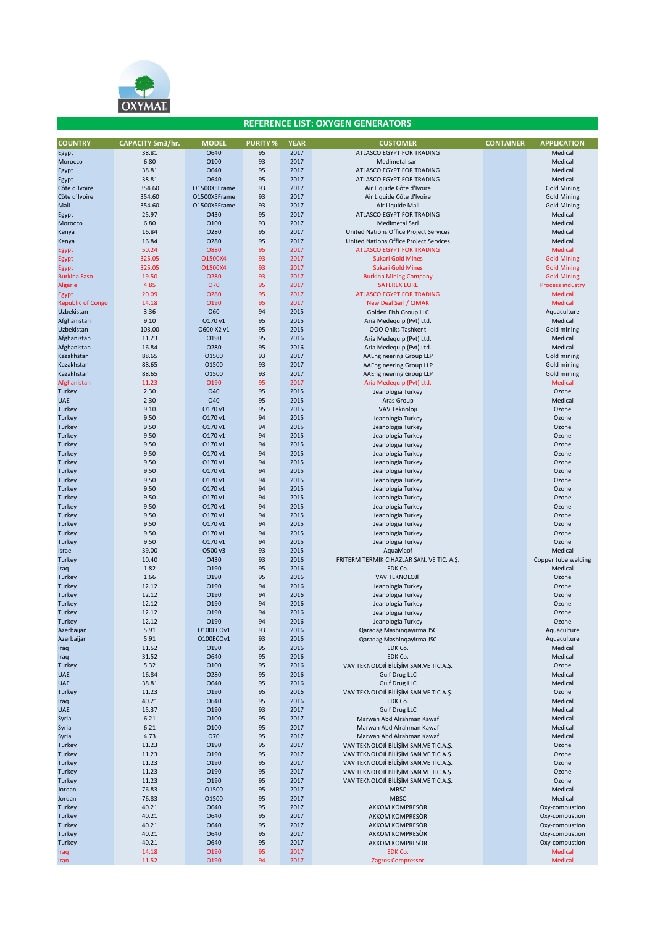

| <b>COUNTRY</b>               | <b>CAPACITY Sm3/hr.</b> | <b>MODEL</b>   | <b>PURITY %</b> | <b>YEAR</b>  | <b>CUSTOMER</b>                                                                  | <b>CONTAINER</b> | <b>APPLICATION</b>      |
|------------------------------|-------------------------|----------------|-----------------|--------------|----------------------------------------------------------------------------------|------------------|-------------------------|
| Egypt                        | 38.81                   | O640           | 95              | 2017         | ATLASCO EGYPT FOR TRADING                                                        |                  | Medical                 |
| Morocco                      | 6.80                    | 0100           | 93              | 2017         | Medimetal sarl                                                                   |                  | Medical                 |
| Egypt                        | 38.81                   | O640           | 95              | 2017         | ATLASCO EGYPT FOR TRADING                                                        |                  | Medical                 |
| Egypt                        | 38.81                   | O640           | 95              | 2017         | ATLASCO EGYPT FOR TRADING                                                        |                  | Medical                 |
| Côte d'Ivoire                | 354.60                  | O1500X5Frame   | 93              | 2017         | Air Liquide Côte d'Ivoire                                                        |                  | <b>Gold Mining</b>      |
| Côte d'Ivoire                | 354.60                  | O1500X5Frame   | 93              | 2017         | Air Liquide Côte d'Ivoire                                                        |                  | <b>Gold Mining</b>      |
| Mali                         | 354.60                  | O1500X5Frame   | 93              | 2017         | Air Liquide Mali                                                                 |                  | <b>Gold Mining</b>      |
| Egypt                        | 25.97                   | 0430<br>0100   | 95<br>93        | 2017<br>2017 | ATLASCO EGYPT FOR TRADING                                                        |                  | Medical                 |
| Morocco                      | 6.80                    | O280           | 95              | 2017         | Medimetal Sarl                                                                   |                  | Medical                 |
| Kenya                        | 16.84<br>16.84          | 0280           | 95              | 2017         | United Nations Office Project Services<br>United Nations Office Project Services |                  | Medical<br>Medical      |
| Kenya                        |                         | <b>O880</b>    | 95              | 2017         | <b>ATLASCO EGYPT FOR TRADING</b>                                                 |                  | Medical                 |
| Egypt                        | 50.24<br>325.05         | O1500X4        | 93              | 2017         | <b>Sukari Gold Mines</b>                                                         |                  | <b>Gold Mining</b>      |
| Egypt                        | 325.05                  | O1500X4        | 93              | 2017         | <b>Sukari Gold Mines</b>                                                         |                  | <b>Gold Mining</b>      |
| Egypt<br><b>Burkina Faso</b> | 19.50                   | 0280           | 93              | 2017         | <b>Burkina Mining Company</b>                                                    |                  | <b>Gold Mining</b>      |
| Algerie                      | 4.85                    | 070            | 95              | 2017         | <b>SATEREX EURL</b>                                                              |                  | <b>Process industry</b> |
| Egypt                        | 20.09                   | 0280           | 95              | 2017         | <b>ATLASCO EGYPT FOR TRADING</b>                                                 |                  | <b>Medical</b>          |
| <b>Republic of Congo</b>     | 14.18                   | O190           | 95              | 2017         | New Deal Sarl / CIMAK                                                            |                  | <b>Medical</b>          |
| Uzbekistan                   | 3.36                    | O60            | 94              | 2015         | Golden Fish Group LLC                                                            |                  | Aquaculture             |
| Afghanistan                  | 9.10                    | O170 v1        | 95              | 2015         | Aria Medequip (Pvt) Ltd.                                                         |                  | Medical                 |
| Uzbekistan                   | 103.00                  | O600 X2 v1     | 95              | 2015         | 000 Oniks Tashkent                                                               |                  | Gold mining             |
| Afghanistan                  | 11.23                   | 0190           | 95              | 2016         | Aria Medequip (Pvt) Ltd.                                                         |                  | Medical                 |
| Afghanistan                  | 16.84                   | 0280           | 95              | 2016         | Aria Medequip (Pvt) Ltd.                                                         |                  | Medical                 |
| Kazakhstan                   | 88.65                   | 01500          | 93              | 2017         | AAEngineering Group LLP                                                          |                  | Gold mining             |
| Kazakhstan                   | 88.65                   | 01500          | 93              | 2017         | AAEngineering Group LLP                                                          |                  | Gold mining             |
| Kazakhstan                   | 88.65                   | 01500          | 93              | 2017         | AAEngineering Group LLP                                                          |                  | Gold mining             |
| Afghanistan                  | 11.23                   | O190           | 95              | 2017         | Aria Medequip (Pvt) Ltd.                                                         |                  | <b>Medical</b>          |
| Turkey                       | 2.30                    | O40            | 95              | 2015         | Jeanologia Turkey                                                                |                  | Ozone                   |
| <b>UAE</b>                   | 2.30                    | O40            | 95              | 2015         | Aras Group                                                                       |                  | Medical                 |
| Turkey                       | 9.10                    | O170 v1        | 95              | 2015         | VAV Teknoloji                                                                    |                  | Ozone                   |
| Turkey                       | 9.50                    | O170 v1        | 94              | 2015         | Jeanologia Turkey                                                                |                  | Ozone                   |
| Turkey                       | 9.50                    | 0170 v1        | 94              | 2015         | Jeanologia Turkey                                                                |                  | Ozone                   |
| Turkey                       | 9.50                    | 0170 v1        | 94              | 2015         | Jeanologia Turkey                                                                |                  | Ozone                   |
| Turkey                       | 9.50                    | O170 v1        | 94              | 2015         | Jeanologia Turkey                                                                |                  | Ozone                   |
| Turkey                       | 9.50                    | 0170 v1        | 94              | 2015         | Jeanologia Turkey                                                                |                  | Ozone                   |
| Turkey                       | 9.50                    | O170 v1        | 94              | 2015         | Jeanologia Turkey                                                                |                  | Ozone                   |
| Turkey                       | 9.50                    | 0170 v1        | 94              | 2015         | Jeanologia Turkey                                                                |                  | Ozone                   |
| Turkey                       | 9.50                    | O170 v1        | 94              | 2015         | Jeanologia Turkey                                                                |                  | Ozone                   |
| Turkey                       | 9.50                    | O170 v1        | 94              | 2015         | Jeanologia Turkey                                                                |                  | Ozone                   |
| Turkey                       | 9.50                    | 0170 v1        | 94              | 2015         | Jeanologia Turkey                                                                |                  | Ozone                   |
| Turkey                       | 9.50                    | O170 v1        | 94              | 2015         | Jeanologia Turkey                                                                |                  | Ozone                   |
| Turkey                       | 9.50                    | O170 v1        | 94              | 2015         | Jeanologia Turkey                                                                |                  | Ozone                   |
| Turkey                       | 9.50                    | 0170 v1        | 94              | 2015         | Jeanologia Turkey                                                                |                  | Ozone                   |
| Turkey                       | 9.50                    | O170 v1        | 94              | 2015         | Jeanologia Turkey                                                                |                  | Ozone                   |
| Turkey                       | 9.50                    | O170 v1        | 94              | 2015         | Jeanologia Turkey                                                                |                  | Ozone                   |
| Israel                       | 39.00                   | O500 v3        | 93              | 2015         | AquaMaof                                                                         |                  | Medical                 |
| Turkey                       | 10.40                   | 0430           | 93              | 2016         | FRITERM TERMIK CIHAZLAR SAN. VE TIC. A.Ş.                                        |                  | Copper tube welding     |
| Iraq                         | 1.82                    | 0190           | 95              | 2016         | EDK Co.                                                                          |                  | Medical                 |
| Turkey                       | 1.66                    | 0190           | 95              | 2016         | VAV TEKNOLOJİ                                                                    |                  | Ozone                   |
| Turkey                       | 12.12                   | 0190           | 94              | 2016         | Jeanologia Turkey                                                                |                  | Ozone                   |
| Turkey                       | 12.12                   | 0190           | 94              | 2016         | Jeanologia Turkey                                                                |                  | Ozone                   |
| Turkey                       | 12.12                   | 0190           | 94              | 2016         | Jeanologia Turkey                                                                |                  | Ozone                   |
| Turkey                       | 12.12                   | 0190           | 94              | 2016         | Jeanologia Turkey                                                                |                  | Ozone                   |
| Turkey                       | 12.12                   | 0190           | 94              | 2016         | Jeanologia Turkey                                                                |                  | Ozone                   |
| Azerbaijan                   | 5.91                    | O100ECOv1      | 93              | 2016         | Qaradag Mashinqayirma JSC                                                        |                  | Aquaculture             |
| Azerbaijan                   | 5.91                    | O100ECOv1      | 93              | 2016         | Qaradag Mashingayirma JSC                                                        |                  | Aquaculture             |
| Iraq                         | 11.52                   | 0190           | 95              | 2016         | EDK Co.                                                                          |                  | Medical                 |
| Iraq                         | 31.52                   | 0640           | 95              | 2016         | EDK Co.                                                                          |                  | Medical                 |
| Turkey                       | 5.32                    | 0100           | 95              | 2016         | VAV TEKNOLOJİ BİLİŞİM SAN.VE TİC.A.Ş.                                            |                  | Ozone                   |
| <b>UAE</b>                   | 16.84                   | 0280           | 95              | 2016         | <b>Gulf Drug LLC</b>                                                             |                  | Medical                 |
| <b>UAE</b>                   | 38.81                   | 0640           | 95              | 2016         | <b>Gulf Drug LLC</b>                                                             |                  | Medical                 |
| Turkey                       | 11.23                   | 0190           | 95              | 2016         | VAV TEKNOLOJİ BİLİŞİM SAN.VE TİC.A.Ş.                                            |                  | Ozone                   |
| Iraq                         | 40.21                   | O640           | 95              | 2016         | EDK Co.                                                                          |                  | Medical                 |
| <b>UAE</b>                   | 15.37                   | 0190           | 93              | 2017         | <b>Gulf Drug LLC</b>                                                             |                  | Medical                 |
| Syria                        | 6.21                    | 0100           | 95              | 2017         | Marwan Abd Alrahman Kawaf                                                        |                  | Medical                 |
| Syria                        | 6.21                    | 0100           | 95              | 2017         | Marwan Abd Alrahman Kawaf                                                        |                  | Medical                 |
| Syria                        | 4.73                    | O70            | 95              | 2017         | Marwan Abd Alrahman Kawaf                                                        |                  | Medical                 |
| Turkey                       | 11.23                   | 0190           | 95              | 2017         | VAV TEKNOLOJİ BİLİŞİM SAN.VE TİC.A.Ş.                                            |                  | Ozone                   |
| Turkey                       | 11.23                   | 0190           | 95              | 2017         | VAV TEKNOLOJİ BİLİŞİM SAN.VE TİC.A.Ş.                                            |                  | Ozone                   |
| Turkey                       | 11.23<br>11.23          | 0190<br>0190   | 95<br>95        | 2017<br>2017 | VAV TEKNOLOJİ BİLİŞİM SAN.VE TİC.A.Ş.                                            |                  | Ozone<br>Ozone          |
| Turkey<br>Turkey             | 11.23                   | 0190           | 95              | 2017         | VAV TEKNOLOJİ BİLİŞİM SAN.VE TİC.A.Ş.                                            |                  |                         |
|                              |                         |                | 95              | 2017         | VAV TEKNOLOJİ BİLİŞİM SAN.VE TİC.A.Ş.<br><b>MBSC</b>                             |                  | Ozone                   |
| Jordan<br>Jordan             | 76.83<br>76.83          | 01500<br>01500 | 95              | 2017         | <b>MBSC</b>                                                                      |                  | Medical<br>Medical      |
| Turkey                       | 40.21                   | O640           | 95              | 2017         | AKKOM KOMPRESÖR                                                                  |                  | Oxy-combustion          |
| Turkey                       | 40.21                   | O640           | 95              | 2017         | AKKOM KOMPRESÖR                                                                  |                  | Oxy-combustion          |
| Turkey                       | 40.21                   | 0640           | 95              | 2017         | AKKOM KOMPRESÖR                                                                  |                  | Oxy-combustion          |
| Turkey                       | 40.21                   | O640           | 95              | 2017         | AKKOM KOMPRESÖR                                                                  |                  | Oxy-combustion          |
| Turkey                       | 40.21                   | O640           | 95              | 2017         | AKKOM KOMPRESÖR                                                                  |                  | Oxy-combustion          |
| Iraq                         | 14.18                   | 0190           | 95              | 2017         | EDK Co.                                                                          |                  | <b>Medical</b>          |
| Iran                         | 11.52                   | 0190           | 94              | 2017         | <b>Zagros Compressor</b>                                                         |                  | <b>Medical</b>          |
|                              |                         |                |                 |              |                                                                                  |                  |                         |